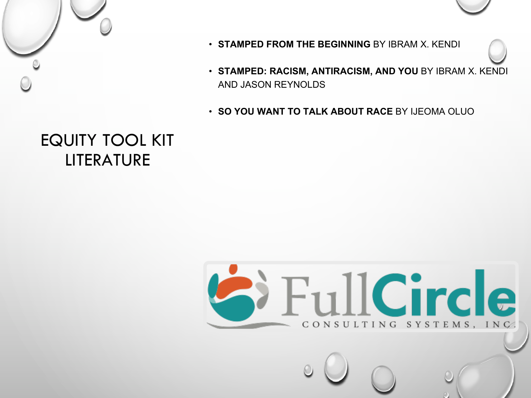



- **STAMPED FROM THE BEGINNING** BY IBRAM X. KENDI
- **STAMPED: RACISM, ANTIRACISM, AND YOU** BY IBRAM X. KENDI AND JASON REYNOLDS
- **SO YOU WANT TO TALK ABOUT RACE** BY IJEOMA OLUO

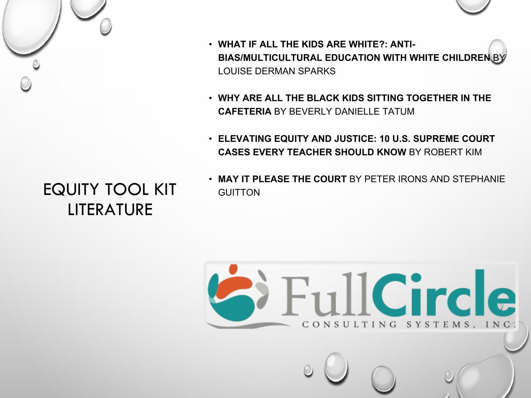

- **WHAT IF ALL THE KIDS ARE WHITE?: ANTI-BIAS/MULTICULTURAL EDUCATION WITH WHITE CHILDREN** BY LOUISE DERMAN SPARKS
- **WHY ARE ALL THE BLACK KIDS SITTING TOGETHER IN THE CAFETERIA** BY BEVERLY DANIELLE TATUM
- **ELEVATING EQUITY AND JUSTICE: 10 U.S. SUPREME COURT CASES EVERY TEACHER SHOULD KNOW** BY ROBERT KIM
- **MAY IT PLEASE THE COURT** BY PETER IRONS AND STEPHANIE **GUITTON**

FullCircle

CONSULTING SYSTEMS, INC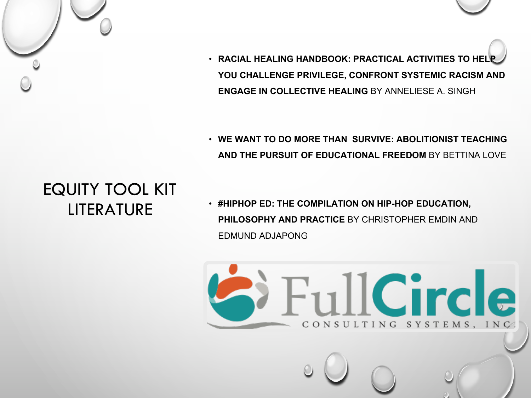• **RACIAL HEALING HANDBOOK: PRACTICAL ACTIVITIES TO HELP YOU CHALLENGE PRIVILEGE, CONFRONT SYSTEMIC RACISM AND ENGAGE IN COLLECTIVE HEALING** BY ANNELIESE A. SINGH

• **WE WANT TO DO MORE THAN SURVIVE: ABOLITIONIST TEACHING AND THE PURSUIT OF EDUCATIONAL FREEDOM** BY BETTINA LOVE

FullCircle

CONSULTING SYSTEMS, INC

### EQUITY TOOL KIT LITERATURE

• **#HIPHOP ED: THE COMPILATION ON HIP-HOP EDUCATION, PHILOSOPHY AND PRACTICE** BY CHRISTOPHER EMDIN AND EDMUND ADJAPONG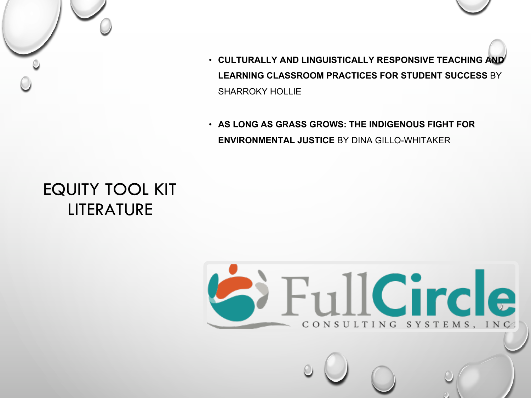

- **CULTURALLY AND LINGUISTICALLY RESPONSIVE TEACHING AND LEARNING CLASSROOM PRACTICES FOR STUDENT SUCCESS** BY SHARROKY HOLLIE
- **AS LONG AS GRASS GROWS: THE INDIGENOUS FIGHT FOR ENVIRONMENTAL JUSTICE** BY DINA GILLO-WHITAKER

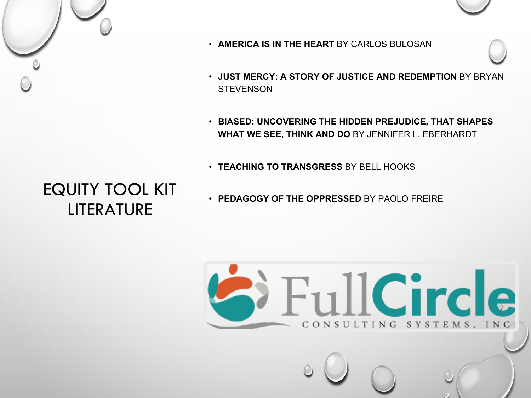



- **AMERICA IS IN THE HEART** BY CARLOS BULOSAN
- **JUST MERCY: A STORY OF JUSTICE AND REDEMPTION** BY BRYAN **STEVENSON**
- **BIASED: UNCOVERING THE HIDDEN PREJUDICE, THAT SHAPES WHAT WE SEE, THINK AND DO** BY JENNIFER L. EBERHARDT
- **TEACHING TO TRANSGRESS** BY BELL HOOKS
- **PEDAGOGY OF THE OPPRESSED** BY PAOLO FREIRE

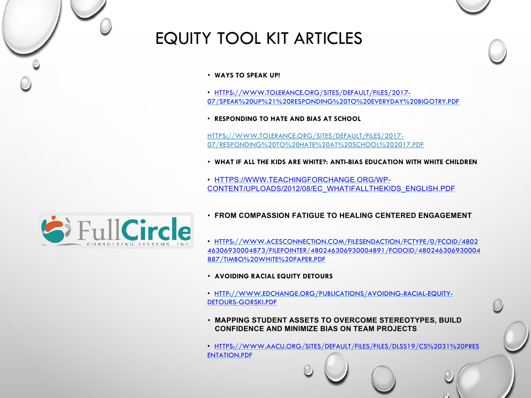

#### • **WAYS TO SPEAK UP!**

- HTTPS://WWW.TOLERANCE.ORG/SITES/DEFAULT/FILES/2017- [07/SPEAK%20UP%21%20RESPONDING%20TO%20EVERYDAY%20BIGOTRY.PDF](https://www.tolerance.org/sites/default/files/2017-07/Speak%20Up%21%20Responding%20to%20Everyday%20Bigotry.pdf)
- **RESPONDING TO HATE AND BIAS AT SCHOOL**

HTTPS://WWW.TOLERANCE.ORG/SITES/DEFAULT/FILES/2017- 07/RESPONDING%20TO%20HATE%20AT%20SCHOOL%202017.PDF

- **WHAT IF ALL THE KIDS ARE WHITE?: ANTI-BIAS EDUCATION WITH WHITE CHILDREN**
- HTTPS://WWW.TEACHINGFORCHANGE.ORG/WP-[CONTENT/UPLOADS/2012/08/EC\\_WHATIFALLTHEKIDS\\_ENGLISH.PDF](https://www.teachingforchange.org/wp-content/uploads/2012/08/ec_whatifallthekids_english.pdf)



- **FROM COMPASSION FATIGUE TO HEALING CENTERED ENGAGEMENT**
- HTTPS://WWW.ACESCONNECTION.COM/FILESENDACTION/FCTYPE/0/FCOID/4802 [46306930004873/FILEPOINTER/480246306930004891/FODOID/480246306930004](https://www.acesconnection.com/fileSendAction/fcType/0/fcOid/480246306930004873/filePointer/480246306930004891/fodoid/480246306930004887/TIMBo%20White%20Paper.pdf) 887/TIMBO%20WHITE%20PAPER.PDF

#### • **AVOIDING RACIAL EQUITY DETOURS**

- [HTTP://WWW.EDCHANGE.ORG/PUBLICATIONS/AVOIDING-RACIAL-EQUITY-](http://www.edchange.org/publications/Avoiding-Racial-Equity-Detours-Gorski.pdf)DETOURS-GORSKI.PDF
- **MAPPING STUDENT ASSETS TO OVERCOME STEREOTYPES, BUILD CONFIDENCE AND MINIMIZE BIAS ON TEAM PROJECTS**
- [HTTPS://WWW.AACU.ORG/SITES/DEFAULT/FILES/FILES/DLSS19/CS%2031%20PRES](https://www.aacu.org/sites/default/files/files/dlss19/CS%2031%20Presentation.pdf) ENTATION.PDF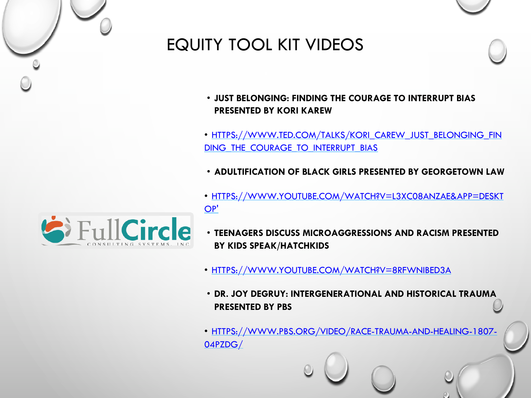

# EQUITY TOOL KIT VIDEOS

- **JUST BELONGING: FINDING THE COURAGE TO INTERRUPT BIAS PRESENTED BY KORI KAREW**
- [HTTPS://WWW.TED.COM/TALKS/KORI\\_CAREW\\_JUST\\_BELONGING\\_FIN](https://www.ted.com/talks/kori_carew_just_belonging_finding_the_courage_to_interrupt_bias) DING THE COURAGE TO INTERRUPT BIAS
- **ADULTIFICATION OF BLACK GIRLS PRESENTED BY GEORGETOWN LAW**
- [HTTPS://WWW.YOUTUBE.COM/WATCH?V=L3XC08ANZAE&APP=DESKT](https://www.youtube.com/watch?v=L3Xc08anZAE&app=desktop) OP'
- **TEENAGERS DISCUSS MICROAGGRESSIONS AND RACISM PRESENTED BY KIDS SPEAK/HATCHKIDS**
- [HTTPS://WWW.YOUTUBE.COM/WATCH?V=8RFWNIBED3A](https://www.youtube.com/watch?v=8RfwnibEd3A)
- **DR. JOY DEGRUY: INTERGENERATIONAL AND HISTORICAL TRAUMA PRESENTED BY PBS**
- [HTTPS://WWW.PBS.ORG/VIDEO/RACE-TRAUMA-AND-HEALING-1807-](https://www.pbs.org/video/race-trauma-and-healing-1807-04pzdg/) 04PZDG/